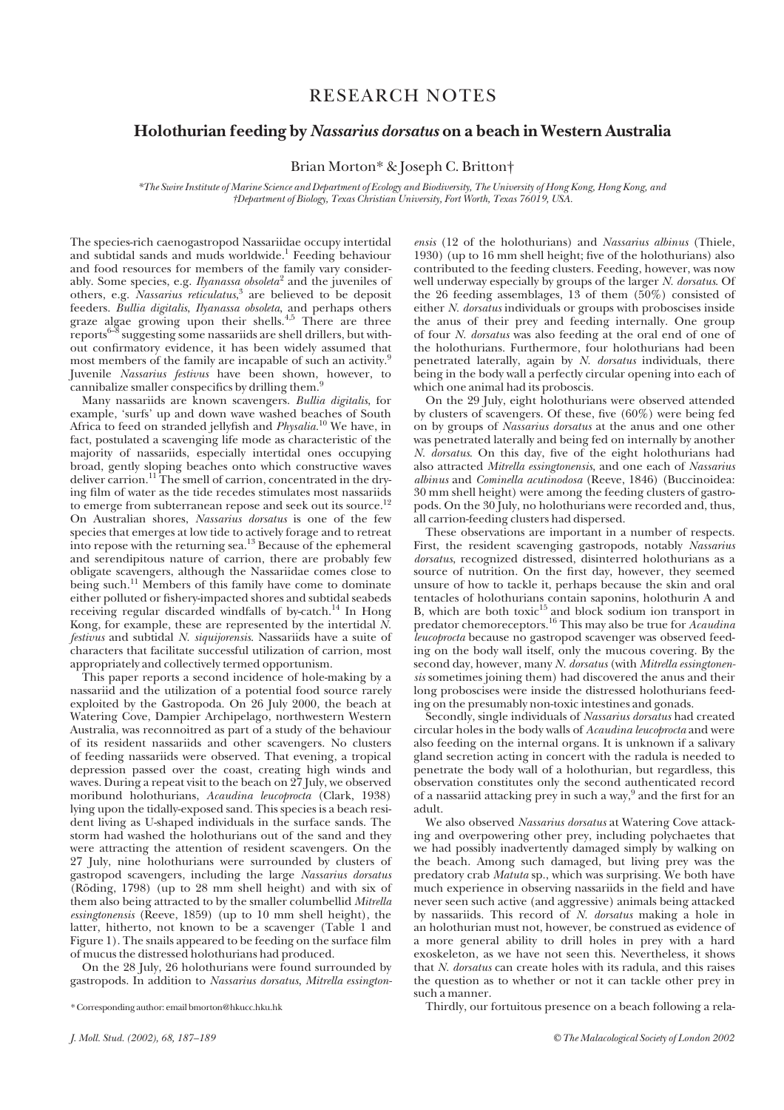# RESEARCH NOTES

# **Holothurian feeding by** *Nassarius dorsatus* **on a beach in Western Australia**

## Brian Morton\* & Joseph C. Britton†

*\*The Swire Institute of Marine Science and Department of Ecology and Biodiversity, The University of Hong Kong, Hong Kong, and †Department of Biology, Texas Christian University, Fort Worth, Texas 76019, USA.*

The species-rich caenogastropod Nassariidae occupy intertidal and subtidal sands and muds worldwide.<sup>1</sup> Feeding behaviour and food resources for members of the family vary considerably. Some species, e.g. *Ilyanassa obsoleta*<sup>2</sup> and the juveniles of others, e.g. *Nassarius reticulatus*, <sup>3</sup> are believed to be deposit feeders. *Bullia digitalis*, *Ilyanassa obsoleta*, and perhaps others graze algae growing upon their shells.<sup>4,5</sup> There are three  $\mathbf{r}$ eports $^{6-8}$  suggesting some nassariids are shell drillers, but without confirmatory evidence, it has been widely assumed that most members of the family are incapable of such an activity.<sup>9</sup> Juvenile *Nassarius festivus* have been shown, however, to cannibalize smaller conspecifics by drilling them.<sup>9</sup>

Many nassariids are known scavengers. *Bullia digitalis*, for example, 'surfs' up and down wave washed beaches of South Africa to feed on stranded jellyfish and *Physalia.*<sup>10</sup> We have, in fact, postulated a scavenging life mode as characteristic of the majority of nassariids, especially intertidal ones occupying broad, gently sloping beaches onto which constructive waves deliver carrion.11 The smell of carrion, concentrated in the drying film of water as the tide recedes stimulates most nassariids to emerge from subterranean repose and seek out its source.<sup>12</sup> On Australian shores, *Nassarius dorsatus* is one of the few species that emerges at low tide to actively forage and to retreat into repose with the returning sea.<sup>13</sup> Because of the ephemeral and serendipitous nature of carrion, there are probably few obligate scavengers, although the Nassariidae comes close to being such.<sup>11</sup> Members of this family have come to dominate either polluted or fishery-impacted shores and subtidal seabeds receiving regular discarded windfalls of by-catch.<sup>14</sup> In Hong Kong, for example, these are represented by the intertidal *N. festivus* and subtidal *N. siquijorensis*. Nassariids have a suite of characters that facilitate successful utilization of carrion, most appropriately and collectively termed opportunism.

This paper reports a second incidence of hole-making by a nassariid and the utilization of a potential food source rarely exploited by the Gastropoda. On 26 July 2000, the beach at Watering Cove, Dampier Archipelago, northwestern Western Australia, was reconnoitred as part of a study of the behaviour of its resident nassariids and other scavengers. No clusters of feeding nassariids were observed. That evening, a tropical depression passed over the coast, creating high winds and waves. During a repeat visit to the beach on 27 July, we observed moribund holothurians, *Acaudina leucoprocta* (Clark, 1938) lying upon the tidally-exposed sand. This species is a beach resident living as U-shaped individuals in the surface sands. The storm had washed the holothurians out of the sand and they were attracting the attention of resident scavengers. On the 27 July, nine holothurians were surrounded by clusters of gastropod scavengers, including the large *Nassarius dorsatus* (Röding, 1798) (up to 28 mm shell height) and with six of them also being attracted to by the smaller columbellid *Mitrella essingtonensis* (Reeve, 1859) (up to 10 mm shell height), the latter, hitherto, not known to be a scavenger (Table 1 and Figure 1). The snails appeared to be feeding on the surface film of mucus the distressed holothurians had produced.

On the 28 July, 26 holothurians were found surrounded by gastropods. In addition to *Nassarius dorsatus*, *Mitrella essington-*

*ensis* (12 of the holothurians) and *Nassarius albinus* (Thiele, 1930) (up to 16 mm shell height; five of the holothurians) also contributed to the feeding clusters. Feeding, however, was now well underway especially by groups of the larger *N. dorsatus*. Of the 26 feeding assemblages, 13 of them  $(50\%)$  consisted of either *N. dorsatus* individuals or groups with proboscises inside the anus of their prey and feeding internally. One group of four *N. dorsatus* was also feeding at the oral end of one of the holothurians. Furthermore, four holothurians had been penetrated laterally, again by *N. dorsatus* individuals, there being in the body wall a perfectly circular opening into each of which one animal had its proboscis.

On the 29 July, eight holothurians were observed attended by clusters of scavengers. Of these, five (60%) were being fed on by groups of *Nassarius dorsatus* at the anus and one other was penetrated laterally and being fed on internally by another *N. dorsatus*. On this day, five of the eight holothurians had also attracted *Mitrella essingtonensis*, and one each of *Nassarius albinus* and *Cominella acutinodosa* (Reeve, 1846) (Buccinoidea: 30 mm shell height) were among the feeding clusters of gastropods. On the 30 July, no holothurians were recorded and, thus, all carrion-feeding clusters had dispersed.

These observations are important in a number of respects. First, the resident scavenging gastropods, notably *Nassarius dorsatus*, recognized distressed, disinterred holothurians as a source of nutrition. On the first day, however, they seemed unsure of how to tackle it, perhaps because the skin and oral tentacles of holothurians contain saponins, holothurin A and B, which are both toxic<sup>15</sup> and block sodium ion transport in predator chemoreceptors.<sup>16</sup> This may also be true for *Acaudina leucoprocta* because no gastropod scavenger was observed feeding on the body wall itself, only the mucous covering. By the second day, however, many *N. dorsatus* (with *Mitrella essingtonensis* sometimes joining them) had discovered the anus and their long proboscises were inside the distressed holothurians feeding on the presumably non-toxic intestines and gonads.

Secondly, single individuals of *Nassarius dorsatus* had created circular holes in the body walls of *Acaudina leucoprocta* and were also feeding on the internal organs. It is unknown if a salivary gland secretion acting in concert with the radula is needed to penetrate the body wall of a holothurian, but regardless, this observation constitutes only the second authenticated record of a nassariid attacking prey in such a way,<sup>9</sup> and the first for an adult.

We also observed *Nassarius dorsatus* at Watering Cove attacking and overpowering other prey, including polychaetes that we had possibly inadvertently damaged simply by walking on the beach. Among such damaged, but living prey was the predatory crab *Matuta* sp., which was surprising. We both have much experience in observing nassariids in the field and have never seen such active (and aggressive) animals being attacked by nassariids. This record of *N. dorsatus* making a hole in an holothurian must not, however, be construed as evidence of a more general ability to drill holes in prey with a hard exoskeleton, as we have not seen this. Nevertheless, it shows that *N. dorsatus* can create holes with its radula, and this raises the question as to whether or not it can tackle other prey in such a manner.

Thirdly, our fortuitous presence on a beach following a rela-

<sup>\*</sup> Corresponding author: email bmorton@hkucc.hku.hk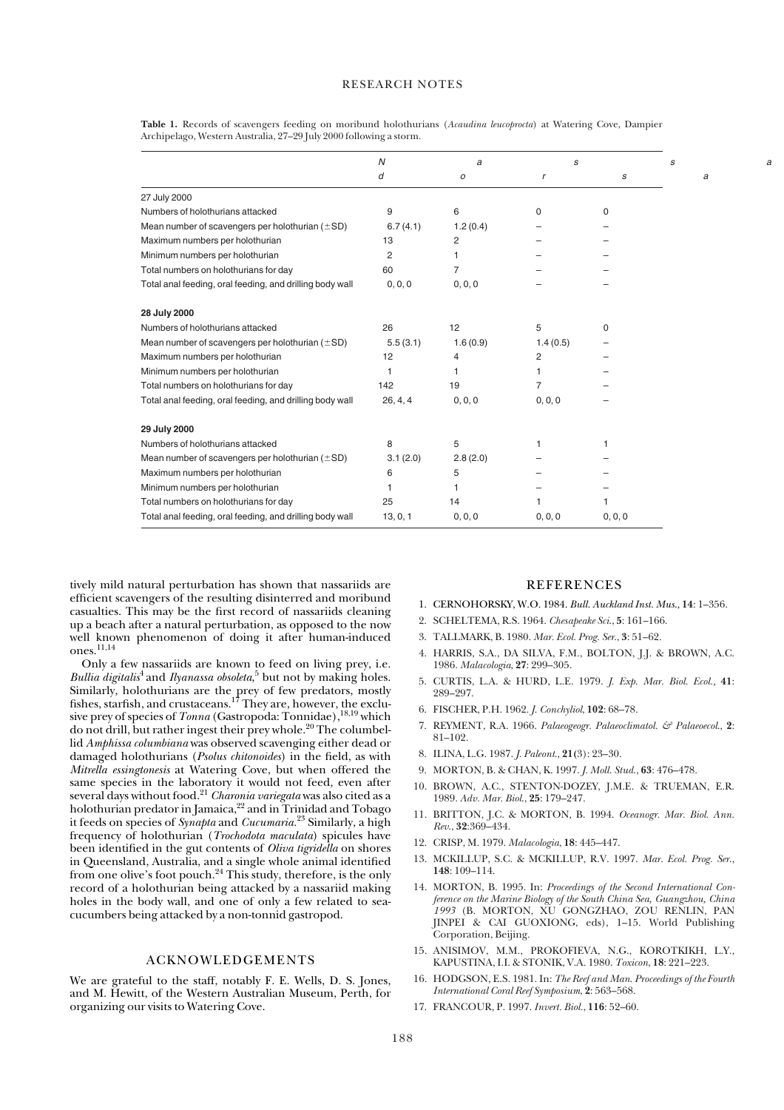#### RESEARCH NOTES

| Table 1. Records of scavengers feeding on moribund holothurians (Acaudina leucoprocta) at Watering Cove, Dampier |  |  |  |
|------------------------------------------------------------------------------------------------------------------|--|--|--|
| Archipelago, Western Australia, 27–29 July 2000 following a storm.                                               |  |  |  |

|                                                          | N        | a        | s              |         | s |  |
|----------------------------------------------------------|----------|----------|----------------|---------|---|--|
|                                                          | d        | $\cal O$ | r              | s       | а |  |
| 27 July 2000                                             |          |          |                |         |   |  |
| Numbers of holothurians attacked                         | 9        | 6        | 0              | 0       |   |  |
| Mean number of scavengers per holothurian $(\pm SD)$     | 6.7(4.1) | 1.2(0.4) |                |         |   |  |
| Maximum numbers per holothurian                          | 13       | 2        |                |         |   |  |
| Minimum numbers per holothurian                          | 2        |          |                |         |   |  |
| Total numbers on holothurians for day                    | 60       | 7        |                |         |   |  |
| Total anal feeding, oral feeding, and drilling body wall | 0, 0, 0  | 0, 0, 0  |                |         |   |  |
| 28 July 2000                                             |          |          |                |         |   |  |
| Numbers of holothurians attacked                         | 26       | 12       | 5              | 0       |   |  |
| Mean number of scavengers per holothurian $(\pm SD)$     | 5.5(3.1) | 1.6(0.9) | 1.4(0.5)       |         |   |  |
| Maximum numbers per holothurian                          | 12       | 4        | 2              |         |   |  |
| Minimum numbers per holothurian                          | 1        | 1        | 1              |         |   |  |
| Total numbers on holothurians for day                    | 142      | 19       | $\overline{7}$ |         |   |  |
| Total anal feeding, oral feeding, and drilling body wall | 26, 4, 4 | 0, 0, 0  | 0, 0, 0        |         |   |  |
| 29 July 2000                                             |          |          |                |         |   |  |
| Numbers of holothurians attacked                         | 8        | 5        |                |         |   |  |
| Mean number of scavengers per holothurian $(\pm SD)$     | 3.1(2.0) | 2.8(2.0) |                |         |   |  |
| Maximum numbers per holothurian                          | 6        | 5        |                |         |   |  |
| Minimum numbers per holothurian                          |          |          |                |         |   |  |
| Total numbers on holothurians for day                    | 25       | 14       |                |         |   |  |
| Total anal feeding, oral feeding, and drilling body wall | 13, 0, 1 | 0, 0, 0  | 0, 0, 0        | 0, 0, 0 |   |  |

tively mild natural perturbation has shown that nassariids are efficient scavengers of the resulting disinterred and moribund casualties. This may be the first record of nassariids cleaning up a beach after a natural perturbation, as opposed to the now well known phenomenon of doing it after human-induced ones.11,14

Only a few nassariids are known to feed on living prey, i.e. *Bullia digitalis*4 and *Ilyanassa obsoleta*, <sup>5</sup> but not by making holes. Similarly, holothurians are the prey of few predators, mostly fishes, starfish, and crustaceans.17 They are, however, the exclusive prey of species of *Tonna* (Gastropoda: Tonnidae),18,19 which do not drill, but rather ingest their prey whole.<sup>20</sup> The columbellid *Amphissa columbiana* was observed scavenging either dead or damaged holothurians (*Psolus chitonoides*) in the field, as with *Mitrella essingtonesis* at Watering Cove, but when offered the same species in the laboratory it would not feed, even after several days without food.<sup>21</sup> *Charonia variegata* was also cited as a holothurian predator in Jamaica, $^{22}$  and in Trinidad and Tobago it feeds on species of *Synapta* and *Cucumaria.*<sup>23</sup> Similarly, a high frequency of holothurian (*Trochodota maculata*) spicules have been identified in the gut contents of *Oliva tigridella* on shores in Queensland, Australia, and a single whole animal identified from one olive's foot pouch.<sup>24</sup> This study, therefore, is the only record of a holothurian being attacked by a nassariid making holes in the body wall, and one of only a few related to seacucumbers being attacked by a non-tonnid gastropod.

### ACKNOWLEDGEMENTS

We are grateful to the staff, notably F. E. Wells, D. S. Jones, and M. Hewitt, of the Western Australian Museum, Perth, for organizing our visits to Watering Cove.

#### **REFERENCES**

- 1. CERNOHORSKY, W.O. 1984. *Bull. Auckland Inst. Mus*., **14**: 1–356.
- 2. SCHELTEMA, R.S. 1964. *Chesapeake Sci*., **5**: 161–166.
- 3. TALLMARK, B. 1980. *Mar. Ecol. Prog. Ser*., **3**: 51–62.
- 4. HARRIS, S.A., DA SILVA, F.M., BOLTON, J.J. & BROWN, A.C. 1986. *Malacologia*, **27**: 299–305.
- 5. CURTIS, L.A. & HURD, L.E. 1979. *J. Exp. Mar. Biol. Ecol.,* **41**: 289–297.
- 6. FISCHER, P.H. 1962. *J. Conchyliol*, **102**: 68–78.
- 7. REYMENT, R.A. 1966. *Palaeogeogr. Palaeoclimatol. & Palaeoecol*., **2**: 81–102.
- 8. ILINA, L.G. 1987. *J. Paleont*., **21(**3): 23–30.
- 9. MORTON, B. & CHAN, K. 1997. *J. Moll. Stud*., **63**: 476–478.
- 10. BROWN, A.C., STENTON-DOZEY, J.M.E. & TRUEMAN, E.R. 1989. *Adv. Mar. Biol*., **25**: 179–247.
- 11. BRITTON, J.C. & MORTON, B. 1994. *Oceanogr. Mar. Biol. Ann. Rev*., **32**:369–434.
- 12. CRISP, M. 1979. *Malacologia*, **18**: 445–447.
- 13. MCKILLUP, S.C. & MCKILLUP, R.V. 1997. *Mar. Ecol. Prog. Ser*., **148**: 109–114.
- 14. MORTON, B. 1995. In: *Proceedings of the Second International Conference on the Marine Biology of the South China Sea, Guangzhou, China 1993* (B. MORTON, XU GONGZHAO, ZOU RENLIN, PAN JINPEI & CAI GUOXIONG, eds), 1–15. World Publishing Corporation, Beijing.
- 15. ANISIMOV, M.M., PROKOFIEVA, N.G., KOROTKIKH, L.Y., KAPUSTINA, I.I. & STONIK, V.A. 1980. *Toxicon*, **18**: 221–223.
- 16. HODGSON, E.S. 1981. In: *The Reef and Man*. *Proceedings of the Fourth International Coral Reef Symposium*, **2**: 563–568.
- 17. FRANCOUR, P. 1997. *Invert. Biol.*, **116**: 52–60.